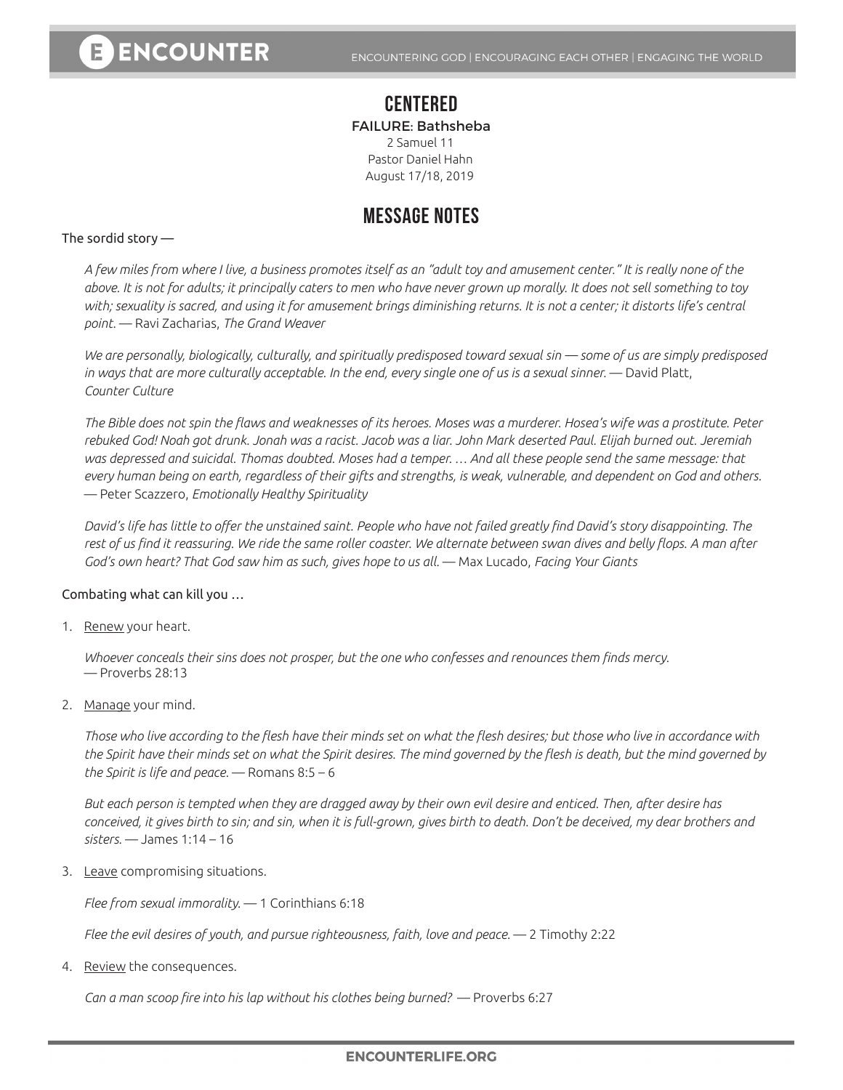### **CENTERED** FAILURE: Bathsheba 2 Samuel 11

Pastor Daniel Hahn August 17/18, 2019

## **MESSAGE NOTES**

#### The sordid story —

*A few miles from where I live, a business promotes itself as an "adult toy and amusement center." It is really none of the above. It is not for adults; it principally caters to men who have never grown up morally. It does not sell something to toy with; sexuality is sacred, and using it for amusement brings diminishing returns. It is not a center; it distorts life's central point.* — Ravi Zacharias, *The Grand Weaver* 

*We are personally, biologically, culturally, and spiritually predisposed toward sexual sin — some of us are simply predisposed in ways that are more culturally acceptable. In the end, every single one of us is a sexual sinner.* — David Platt, *Counter Culture*

*The Bible does not spin the flaws and weaknesses of its heroes. Moses was a murderer. Hosea's wife was a prostitute. Peter rebuked God! Noah got drunk. Jonah was a racist. Jacob was a liar. John Mark deserted Paul. Elijah burned out. Jeremiah was depressed and suicidal. Thomas doubted. Moses had a temper. … And all these people send the same message: that every human being on earth, regardless of their gifts and strengths, is weak, vulnerable, and dependent on God and others.*  ― Peter Scazzero, *Emotionally Healthy Spirituality*

*David's life has little to offer the unstained saint. People who have not failed greatly find David's story disappointing. The rest of us find it reassuring. We ride the same roller coaster. We alternate between swan dives and belly flops. A man after God's own heart? That God saw him as such, gives hope to us all.* — Max Lucado, *Facing Your Giants*

#### Combating what can kill you …

1. Renew your heart.

*Whoever conceals their sins does not prosper, but the one who confesses and renounces them finds mercy.*  — Proverbs 28:13

2. Manage your mind.

*Those who live according to the flesh have their minds set on what the flesh desires; but those who live in accordance with the Spirit have their minds set on what the Spirit desires. The mind governed by the flesh is death, but the mind governed by the Spirit is life and peace.* — Romans 8:5 – 6

*But each person is tempted when they are dragged away by their own evil desire and enticed. Then, after desire has conceived, it gives birth to sin; and sin, when it is full-grown, gives birth to death. Don't be deceived, my dear brothers and sisters.* — James 1:14 – 16

3. Leave compromising situations.

*Flee from sexual immorality.* — 1 Corinthians 6:18

*Flee the evil desires of youth, and pursue righteousness, faith, love and peace.* — 2 Timothy 2:22

4. Review the consequences.

*Can a man scoop fire into his lap without his clothes being burned?* — Proverbs 6:27